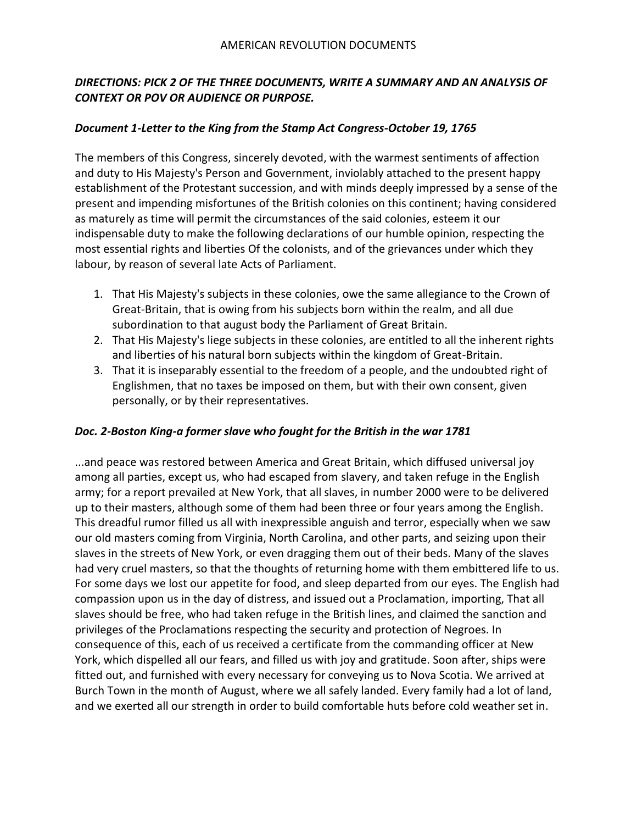## *DIRECTIONS: PICK 2 OF THE THREE DOCUMENTS, WRITE A SUMMARY AND AN ANALYSIS OF CONTEXT OR POV OR AUDIENCE OR PURPOSE.*

## *Document 1-Letter to the King from the Stamp Act Congress-October 19, 1765*

The members of this Congress, sincerely devoted, with the warmest sentiments of affection and duty to His Majesty's Person and Government, inviolably attached to the present happy establishment of the Protestant succession, and with minds deeply impressed by a sense of the present and impending misfortunes of the British colonies on this continent; having considered as maturely as time will permit the circumstances of the said colonies, esteem it our indispensable duty to make the following declarations of our humble opinion, respecting the most essential rights and liberties Of the colonists, and of the grievances under which they labour, by reason of several late Acts of Parliament.

- 1. That His Majesty's subjects in these colonies, owe the same allegiance to the Crown of Great-Britain, that is owing from his subjects born within the realm, and all due subordination to that august body the Parliament of Great Britain.
- 2. That His Majesty's liege subjects in these colonies, are entitled to all the inherent rights and liberties of his natural born subjects within the kingdom of Great-Britain.
- 3. That it is inseparably essential to the freedom of a people, and the undoubted right of Englishmen, that no taxes be imposed on them, but with their own consent, given personally, or by their representatives.

## *Doc. 2-Boston King-a former slave who fought for the British in the war 1781*

...and peace was restored between America and Great Britain, which diffused universal joy among all parties, except us, who had escaped from slavery, and taken refuge in the English army; for a report prevailed at New York, that all slaves, in number 2000 were to be delivered up to their masters, although some of them had been three or four years among the English. This dreadful rumor filled us all with inexpressible anguish and terror, especially when we saw our old masters coming from Virginia, North Carolina, and other parts, and seizing upon their slaves in the streets of New York, or even dragging them out of their beds. Many of the slaves had very cruel masters, so that the thoughts of returning home with them embittered life to us. For some days we lost our appetite for food, and sleep departed from our eyes. The English had compassion upon us in the day of distress, and issued out a Proclamation, importing, That all slaves should be free, who had taken refuge in the British lines, and claimed the sanction and privileges of the Proclamations respecting the security and protection of Negroes. In consequence of this, each of us received a certificate from the commanding officer at New York, which dispelled all our fears, and filled us with joy and gratitude. Soon after, ships were fitted out, and furnished with every necessary for conveying us to Nova Scotia. We arrived at Burch Town in the month of August, where we all safely landed. Every family had a lot of land, and we exerted all our strength in order to build comfortable huts before cold weather set in.